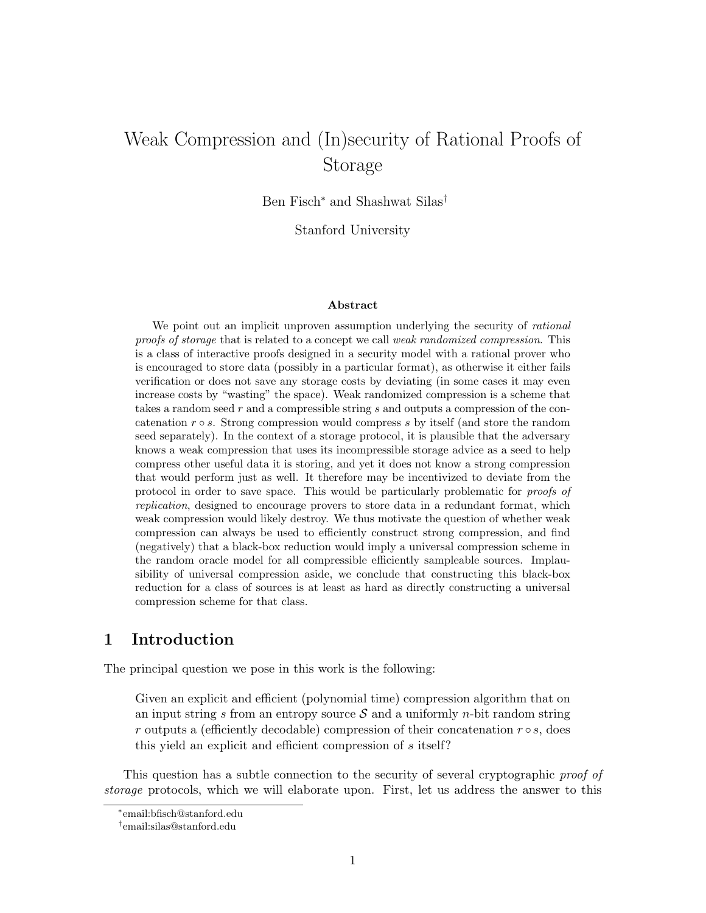# Weak Compression and (In)security of Rational Proofs of Storage

Ben Fisch<sup>∗</sup> and Shashwat Silas†

Stanford University

#### Abstract

We point out an implicit unproven assumption underlying the security of *rational* proofs of storage that is related to a concept we call weak randomized compression. This is a class of interactive proofs designed in a security model with a rational prover who is encouraged to store data (possibly in a particular format), as otherwise it either fails verification or does not save any storage costs by deviating (in some cases it may even increase costs by "wasting" the space). Weak randomized compression is a scheme that takes a random seed r and a compressible string s and outputs a compression of the concatenation  $r \circ s$ . Strong compression would compress s by itself (and store the random seed separately). In the context of a storage protocol, it is plausible that the adversary knows a weak compression that uses its incompressible storage advice as a seed to help compress other useful data it is storing, and yet it does not know a strong compression that would perform just as well. It therefore may be incentivized to deviate from the protocol in order to save space. This would be particularly problematic for proofs of replication, designed to encourage provers to store data in a redundant format, which weak compression would likely destroy. We thus motivate the question of whether weak compression can always be used to efficiently construct strong compression, and find (negatively) that a black-box reduction would imply a universal compression scheme in the random oracle model for all compressible efficiently sampleable sources. Implausibility of universal compression aside, we conclude that constructing this black-box reduction for a class of sources is at least as hard as directly constructing a universal compression scheme for that class.

### 1 Introduction

The principal question we pose in this work is the following:

Given an explicit and efficient (polynomial time) compression algorithm that on an input string s from an entropy source  $\mathcal S$  and a uniformly *n*-bit random string r outputs a (efficiently decodable) compression of their concatenation  $r \circ s$ , does this yield an explicit and efficient compression of s itself?

This question has a subtle connection to the security of several cryptographic proof of storage protocols, which we will elaborate upon. First, let us address the answer to this

<sup>∗</sup> email:bfisch@stanford.edu

<sup>†</sup> email:silas@stanford.edu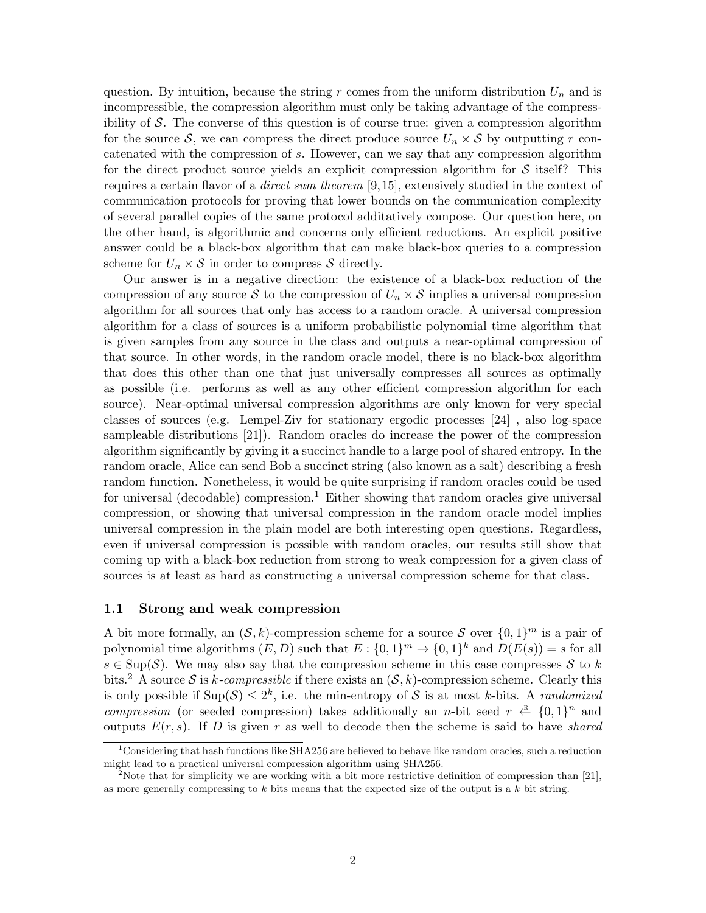question. By intuition, because the string r comes from the uniform distribution  $U_n$  and is incompressible, the compression algorithm must only be taking advantage of the compressibility of S. The converse of this question is of course true: given a compression algorithm for the source S, we can compress the direct produce source  $U_n \times S$  by outputting r concatenated with the compression of s. However, can we say that any compression algorithm for the direct product source yields an explicit compression algorithm for  $\mathcal S$  itself? This requires a certain flavor of a *direct sum theorem* [\[9,](#page-17-0)[15\]](#page-17-1), extensively studied in the context of communication protocols for proving that lower bounds on the communication complexity of several parallel copies of the same protocol additatively compose. Our question here, on the other hand, is algorithmic and concerns only efficient reductions. An explicit positive answer could be a black-box algorithm that can make black-box queries to a compression scheme for  $U_n \times S$  in order to compress S directly.

Our answer is in a negative direction: the existence of a black-box reduction of the compression of any source S to the compression of  $U_n \times S$  implies a universal compression algorithm for all sources that only has access to a random oracle. A universal compression algorithm for a class of sources is a uniform probabilistic polynomial time algorithm that is given samples from any source in the class and outputs a near-optimal compression of that source. In other words, in the random oracle model, there is no black-box algorithm that does this other than one that just universally compresses all sources as optimally as possible (i.e. performs as well as any other efficient compression algorithm for each source). Near-optimal universal compression algorithms are only known for very special classes of sources (e.g. Lempel-Ziv for stationary ergodic processes [\[24\]](#page-18-0) , also log-space sampleable distributions [\[21\]](#page-18-1)). Random oracles do increase the power of the compression algorithm significantly by giving it a succinct handle to a large pool of shared entropy. In the random oracle, Alice can send Bob a succinct string (also known as a salt) describing a fresh random function. Nonetheless, it would be quite surprising if random oracles could be used for universal (decodable) compression.<sup>[1](#page-1-0)</sup> Either showing that random oracles give universal compression, or showing that universal compression in the random oracle model implies universal compression in the plain model are both interesting open questions. Regardless, even if universal compression is possible with random oracles, our results still show that coming up with a black-box reduction from strong to weak compression for a given class of sources is at least as hard as constructing a universal compression scheme for that class.

### 1.1 Strong and weak compression

A bit more formally, an  $(S, k)$ -compression scheme for a source S over  $\{0, 1\}^m$  is a pair of polynomial time algorithms  $(E, D)$  such that  $E: \{0, 1\}^m \to \{0, 1\}^k$  and  $D(E(s)) = s$  for all  $s \in \text{Sup}(\mathcal{S})$ . We may also say that the compression scheme in this case compresses  $\mathcal S$  to k bits.<sup>[2](#page-1-1)</sup> A source S is k-compressible if there exists an  $(S, k)$ -compression scheme. Clearly this is only possible if  $\text{Sup}(\mathcal{S}) \leq 2^k$ , i.e. the min-entropy of S is at most k-bits. A *randomized* compression (or seeded compression) takes additionally an *n*-bit seed  $r \leftarrow \{0,1\}^n$  and outputs  $E(r, s)$ . If D is given r as well to decode then the scheme is said to have shared

<span id="page-1-0"></span><sup>&</sup>lt;sup>1</sup>Considering that hash functions like SHA256 are believed to behave like random oracles, such a reduction might lead to a practical universal compression algorithm using SHA256.

<span id="page-1-1"></span><sup>&</sup>lt;sup>2</sup>Note that for simplicity we are working with a bit more restrictive definition of compression than [\[21\]](#page-18-1), as more generally compressing to  $k$  bits means that the expected size of the output is a  $k$  bit string.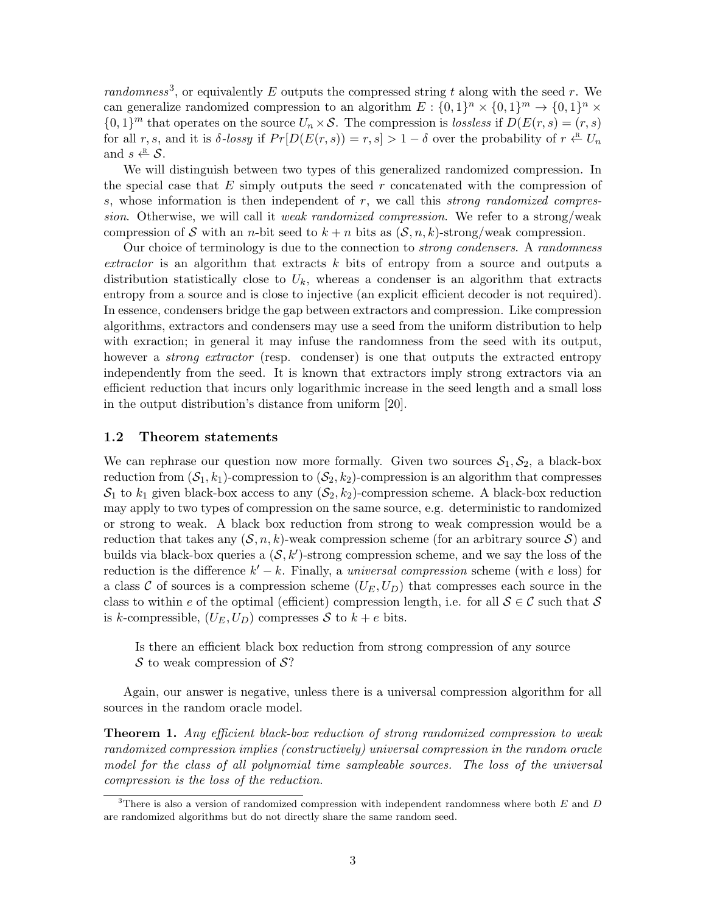randomness<sup>[3](#page-2-0)</sup>, or equivalently E outputs the compressed string t along with the seed r. We can generalize randomized compression to an algorithm  $E: \{0,1\}^n \times \{0,1\}^m \to \{0,1\}^n \times$  $\{0,1\}^m$  that operates on the source  $U_n \times \mathcal{S}$ . The compression is lossless if  $D(E(r, s) = (r, s)$ for all r, s, and it is  $\delta$ -lossy if  $Pr[D(E(r, s)) = r, s] > 1 - \delta$  over the probability of  $r \leftarrow^R U_n$ and  $s \stackrel{\text{\tiny{R}}}{\leftarrow} \mathcal{S}$ .

We will distinguish between two types of this generalized randomized compression. In the special case that  $E$  simply outputs the seed r concatenated with the compression of s, whose information is then independent of r, we call this strong randomized compression. Otherwise, we will call it *weak randomized compression*. We refer to a strong/weak compression of S with an *n*-bit seed to  $k + n$  bits as  $(S, n, k)$ -strong/weak compression.

Our choice of terminology is due to the connection to strong condensers. A randomness extractor is an algorithm that extracts k bits of entropy from a source and outputs a distribution statistically close to  $U_k$ , whereas a condenser is an algorithm that extracts entropy from a source and is close to injective (an explicit efficient decoder is not required). In essence, condensers bridge the gap between extractors and compression. Like compression algorithms, extractors and condensers may use a seed from the uniform distribution to help with exraction; in general it may infuse the randomness from the seed with its output, however a *strong extractor* (resp. condenser) is one that outputs the extracted entropy independently from the seed. It is known that extractors imply strong extractors via an efficient reduction that incurs only logarithmic increase in the seed length and a small loss in the output distribution's distance from uniform [\[20\]](#page-18-2).

### 1.2 Theorem statements

We can rephrase our question now more formally. Given two sources  $S_1, S_2$ , a black-box reduction from  $(S_1, k_1)$ -compression to  $(S_2, k_2)$ -compression is an algorithm that compresses  $S_1$  to  $k_1$  given black-box access to any  $(S_2, k_2)$ -compression scheme. A black-box reduction may apply to two types of compression on the same source, e.g. deterministic to randomized or strong to weak. A black box reduction from strong to weak compression would be a reduction that takes any  $(S, n, k)$ -weak compression scheme (for an arbitrary source S) and builds via black-box queries a  $(S, k')$ -strong compression scheme, and we say the loss of the reduction is the difference  $k' - k$ . Finally, a universal compression scheme (with e loss) for a class C of sources is a compression scheme  $(U_E, U_D)$  that compresses each source in the class to within e of the optimal (efficient) compression length, i.e. for all  $S \in \mathcal{C}$  such that S is k-compressible,  $(U_E, U_D)$  compresses S to  $k + e$  bits.

Is there an efficient black box reduction from strong compression of any source  $\mathcal S$  to weak compression of  $\mathcal S$ ?

Again, our answer is negative, unless there is a universal compression algorithm for all sources in the random oracle model.

**Theorem 1.** Any efficient black-box reduction of strong randomized compression to weak randomized compression implies (constructively) universal compression in the random oracle model for the class of all polynomial time sampleable sources. The loss of the universal compression is the loss of the reduction.

<span id="page-2-0"></span><sup>&</sup>lt;sup>3</sup>There is also a version of randomized compression with independent randomness where both  $E$  and  $D$ are randomized algorithms but do not directly share the same random seed.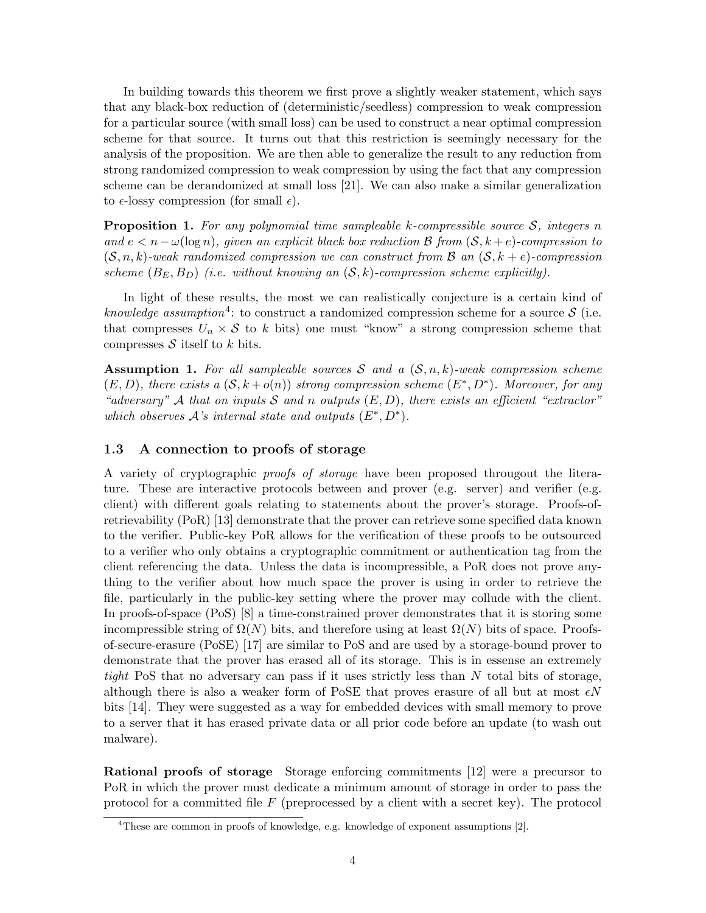In building towards this theorem we first prove a slightly weaker statement, which says that any black-box reduction of (deterministic/seedless) compression to weak compression for a particular source (with small loss) can be used to construct a near optimal compression scheme for that source. It turns out that this restriction is seemingly necessary for the analysis of the proposition. We are then able to generalize the result to any reduction from strong randomized compression to weak compression by using the fact that any compression scheme can be derandomized at small loss [\[21\]](#page-18-1). We can also make a similar generalization to  $\epsilon$ -lossy compression (for small  $\epsilon$ ).

**Proposition 1.** For any polynomial time sampleable k-compressible source  $S$ , integers n and  $e < n - \omega(\log n)$ , given an explicit black box reduction B from  $(S, k + e)$ -compression to  $(S, n, k)$ -weak randomized compression we can construct from B an  $(S, k + e)$ -compression scheme  $(B_E, B_D)$  (i.e. without knowing an  $(S, k)$ -compression scheme explicitly).

In light of these results, the most we can realistically conjecture is a certain kind of knowledge assumption<sup>[4](#page-3-0)</sup>: to construct a randomized compression scheme for a source S (i.e. that compresses  $U_n \times S$  to k bits) one must "know" a strong compression scheme that compresses  $S$  itself to k bits.

**Assumption 1.** For all sampleable sources S and a  $(S, n, k)$ -weak compression scheme  $(E, D)$ , there exists a  $(S, k + o(n))$  strong compression scheme  $(E^*, D^*)$ . Moreover, for any "adversary" A that on inputs S and n outputs  $(E, D)$ , there exists an efficient "extractor" which observes  $\mathcal{A}$ 's internal state and outputs  $(E^*, D^*)$ .

### 1.3 A connection to proofs of storage

A variety of cryptographic proofs of storage have been proposed througout the literature. These are interactive protocols between and prover (e.g. server) and verifier (e.g. client) with different goals relating to statements about the prover's storage. Proofs-ofretrievability (PoR) [\[13\]](#page-17-2) demonstrate that the prover can retrieve some specified data known to the verifier. Public-key PoR allows for the verification of these proofs to be outsourced to a verifier who only obtains a cryptographic commitment or authentication tag from the client referencing the data. Unless the data is incompressible, a PoR does not prove anything to the verifier about how much space the prover is using in order to retrieve the file, particularly in the public-key setting where the prover may collude with the client. In proofs-of-space (PoS) [\[8\]](#page-17-3) a time-constrained prover demonstrates that it is storing some incompressible string of  $\Omega(N)$  bits, and therefore using at least  $\Omega(N)$  bits of space. Proofsof-secure-erasure (PoSE) [\[17\]](#page-18-3) are similar to PoS and are used by a storage-bound prover to demonstrate that the prover has erased all of its storage. This is in essense an extremely tight PoS that no adversary can pass if it uses strictly less than  $N$  total bits of storage, although there is also a weaker form of PoSE that proves erasure of all but at most  $\epsilon N$ bits [\[14\]](#page-17-4). They were suggested as a way for embedded devices with small memory to prove to a server that it has erased private data or all prior code before an update (to wash out malware).

Rational proofs of storage Storage enforcing commitments [\[12\]](#page-17-5) were a precursor to PoR in which the prover must dedicate a minimum amount of storage in order to pass the protocol for a committed file  $F$  (preprocessed by a client with a secret key). The protocol

<span id="page-3-0"></span> $4$ These are common in proofs of knowledge, e.g. knowledge of exponent assumptions [\[2\]](#page-17-6).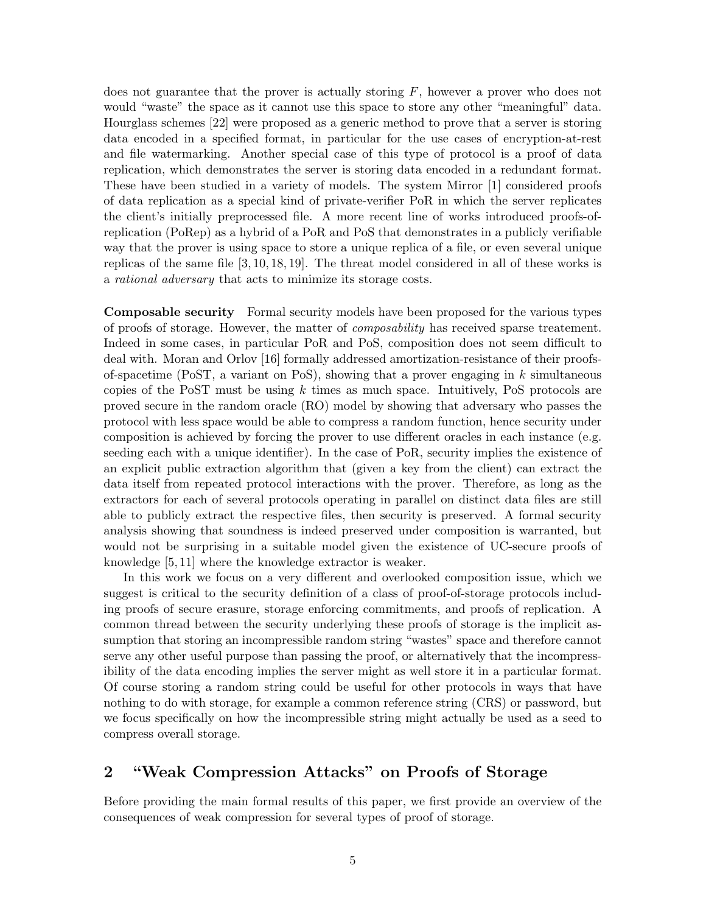does not guarantee that the prover is actually storing  $F$ , however a prover who does not would "waste" the space as it cannot use this space to store any other "meaningful" data. Hourglass schemes [\[22\]](#page-18-4) were proposed as a generic method to prove that a server is storing data encoded in a specified format, in particular for the use cases of encryption-at-rest and file watermarking. Another special case of this type of protocol is a proof of data replication, which demonstrates the server is storing data encoded in a redundant format. These have been studied in a variety of models. The system Mirror [\[1\]](#page-17-7) considered proofs of data replication as a special kind of private-verifier PoR in which the server replicates the client's initially preprocessed file. A more recent line of works introduced proofs-ofreplication (PoRep) as a hybrid of a PoR and PoS that demonstrates in a publicly verifiable way that the prover is using space to store a unique replica of a file, or even several unique replicas of the same file [\[3,](#page-17-8) [10,](#page-17-9) [18,](#page-18-5) [19\]](#page-18-6). The threat model considered in all of these works is a rational adversary that acts to minimize its storage costs.

Composable security Formal security models have been proposed for the various types of proofs of storage. However, the matter of composability has received sparse treatement. Indeed in some cases, in particular PoR and PoS, composition does not seem difficult to deal with. Moran and Orlov [\[16\]](#page-17-10) formally addressed amortization-resistance of their proofsof-spacetime (PoST, a variant on PoS), showing that a prover engaging in  $k$  simultaneous copies of the PoST must be using  $k$  times as much space. Intuitively, PoS protocols are proved secure in the random oracle (RO) model by showing that adversary who passes the protocol with less space would be able to compress a random function, hence security under composition is achieved by forcing the prover to use different oracles in each instance (e.g. seeding each with a unique identifier). In the case of PoR, security implies the existence of an explicit public extraction algorithm that (given a key from the client) can extract the data itself from repeated protocol interactions with the prover. Therefore, as long as the extractors for each of several protocols operating in parallel on distinct data files are still able to publicly extract the respective files, then security is preserved. A formal security analysis showing that soundness is indeed preserved under composition is warranted, but would not be surprising in a suitable model given the existence of UC-secure proofs of knowledge [\[5,](#page-17-11) [11\]](#page-17-12) where the knowledge extractor is weaker.

In this work we focus on a very different and overlooked composition issue, which we suggest is critical to the security definition of a class of proof-of-storage protocols including proofs of secure erasure, storage enforcing commitments, and proofs of replication. A common thread between the security underlying these proofs of storage is the implicit assumption that storing an incompressible random string "wastes" space and therefore cannot serve any other useful purpose than passing the proof, or alternatively that the incompressibility of the data encoding implies the server might as well store it in a particular format. Of course storing a random string could be useful for other protocols in ways that have nothing to do with storage, for example a common reference string (CRS) or password, but we focus specifically on how the incompressible string might actually be used as a seed to compress overall storage.

## 2 "Weak Compression Attacks" on Proofs of Storage

Before providing the main formal results of this paper, we first provide an overview of the consequences of weak compression for several types of proof of storage.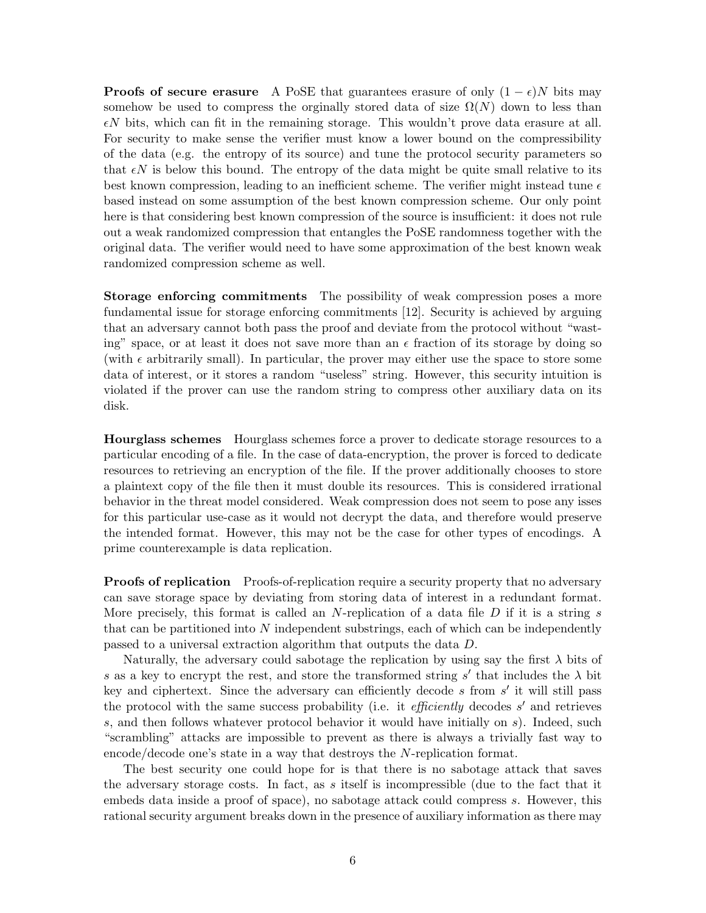**Proofs of secure erasure** A PoSE that guarantees erasure of only  $(1 - \epsilon)N$  bits may somehow be used to compress the orginally stored data of size  $\Omega(N)$  down to less than  $\epsilon N$  bits, which can fit in the remaining storage. This wouldn't prove data erasure at all. For security to make sense the verifier must know a lower bound on the compressibility of the data (e.g. the entropy of its source) and tune the protocol security parameters so that  $\epsilon N$  is below this bound. The entropy of the data might be quite small relative to its best known compression, leading to an inefficient scheme. The verifier might instead tune  $\epsilon$ based instead on some assumption of the best known compression scheme. Our only point here is that considering best known compression of the source is insufficient: it does not rule out a weak randomized compression that entangles the PoSE randomness together with the original data. The verifier would need to have some approximation of the best known weak randomized compression scheme as well.

Storage enforcing commitments The possibility of weak compression poses a more fundamental issue for storage enforcing commitments [\[12\]](#page-17-5). Security is achieved by arguing that an adversary cannot both pass the proof and deviate from the protocol without "wasting" space, or at least it does not save more than an  $\epsilon$  fraction of its storage by doing so (with  $\epsilon$  arbitrarily small). In particular, the prover may either use the space to store some data of interest, or it stores a random "useless" string. However, this security intuition is violated if the prover can use the random string to compress other auxiliary data on its disk.

Hourglass schemes Hourglass schemes force a prover to dedicate storage resources to a particular encoding of a file. In the case of data-encryption, the prover is forced to dedicate resources to retrieving an encryption of the file. If the prover additionally chooses to store a plaintext copy of the file then it must double its resources. This is considered irrational behavior in the threat model considered. Weak compression does not seem to pose any isses for this particular use-case as it would not decrypt the data, and therefore would preserve the intended format. However, this may not be the case for other types of encodings. A prime counterexample is data replication.

**Proofs of replication** Proofs-of-replication require a security property that no adversary can save storage space by deviating from storing data of interest in a redundant format. More precisely, this format is called an N-replication of a data file  $D$  if it is a string s that can be partitioned into  $N$  independent substrings, each of which can be independently passed to a universal extraction algorithm that outputs the data D.

Naturally, the adversary could sabotage the replication by using say the first  $\lambda$  bits of s as a key to encrypt the rest, and store the transformed string s' that includes the  $\lambda$  bit key and ciphertext. Since the adversary can efficiently decode  $s$  from  $s'$  it will still pass the protocol with the same success probability (i.e. it *efficiently* decodes  $s'$  and retrieves s, and then follows whatever protocol behavior it would have initially on s). Indeed, such "scrambling" attacks are impossible to prevent as there is always a trivially fast way to encode/decode one's state in a way that destroys the N-replication format.

The best security one could hope for is that there is no sabotage attack that saves the adversary storage costs. In fact, as s itself is incompressible (due to the fact that it embeds data inside a proof of space), no sabotage attack could compress s. However, this rational security argument breaks down in the presence of auxiliary information as there may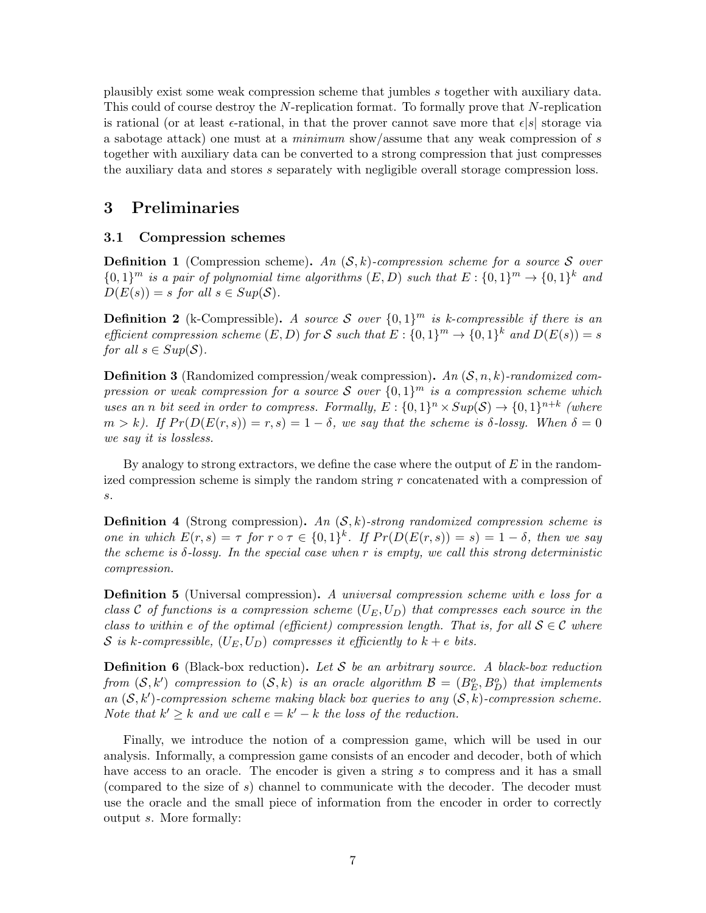plausibly exist some weak compression scheme that jumbles s together with auxiliary data. This could of course destroy the N-replication format. To formally prove that N-replication is rational (or at least  $\epsilon$ -rational, in that the prover cannot save more that  $\epsilon |s|$  storage via a sabotage attack) one must at a minimum show/assume that any weak compression of s together with auxiliary data can be converted to a strong compression that just compresses the auxiliary data and stores s separately with negligible overall storage compression loss.

### 3 Preliminaries

### 3.1 Compression schemes

**Definition 1** (Compression scheme). An  $(S, k)$ -compression scheme for a source S over  ${0,1}^m$  is a pair of polynomial time algorithms  $(E, D)$  such that  $E: \{0,1\}^m \rightarrow \{0,1\}^k$  and  $D(E(s)) = s$  for all  $s \in Sup(\mathcal{S})$ .

**Definition 2** (k-Compressible). A source S over  $\{0,1\}^m$  is k-compressible if there is an efficient compression scheme  $(E, D)$  for S such that  $E: \{0,1\}^m \to \{0,1\}^k$  and  $D(E(s)) = s$ for all  $s \in Sup(\mathcal{S})$ .

**Definition 3** (Randomized compression/weak compression). An  $(S, n, k)$ -randomized compression or weak compression for a source S over  $\{0,1\}^m$  is a compression scheme which uses an n bit seed in order to compress. Formally,  $E: \{0,1\}^n \times Sup(\mathcal{S}) \rightarrow \{0,1\}^{n+k}$  (where  $m > k$ ). If  $Pr(D(E(r, s)) = r, s) = 1 - \delta$ , we say that the scheme is  $\delta$ -lossy. When  $\delta = 0$ we say it is lossless.

By analogy to strong extractors, we define the case where the output of  $E$  in the randomized compression scheme is simply the random string r concatenated with a compression of s.

**Definition 4** (Strong compression). An  $(S, k)$ -strong randomized compression scheme is one in which  $E(r, s) = \tau$  for  $r \circ \tau \in \{0, 1\}^k$ . If  $Pr(D(E(r, s)) = s) = 1 - \delta$ , then we say the scheme is  $\delta$ -lossy. In the special case when r is empty, we call this strong deterministic compression.

**Definition 5** (Universal compression). A universal compression scheme with e loss for a class C of functions is a compression scheme  $(U_F, U_D)$  that compresses each source in the class to within e of the optimal (efficient) compression length. That is, for all  $S \in \mathcal{C}$  where S is k-compressible,  $(U_E, U_D)$  compresses it efficiently to  $k + e$  bits.

**Definition 6** (Black-box reduction). Let S be an arbitrary source. A black-box reduction from  $(S, k')$  compression to  $(S, k)$  is an oracle algorithm  $\mathcal{B} = (B_E^o, B_D^o)$  that implements an  $(S, k')$ -compression scheme making black box queries to any  $(S, k)$ -compression scheme. Note that  $k' \geq k$  and we call  $e = k' - k$  the loss of the reduction.

Finally, we introduce the notion of a compression game, which will be used in our analysis. Informally, a compression game consists of an encoder and decoder, both of which have access to an oracle. The encoder is given a string s to compress and it has a small (compared to the size of s) channel to communicate with the decoder. The decoder must use the oracle and the small piece of information from the encoder in order to correctly output s. More formally: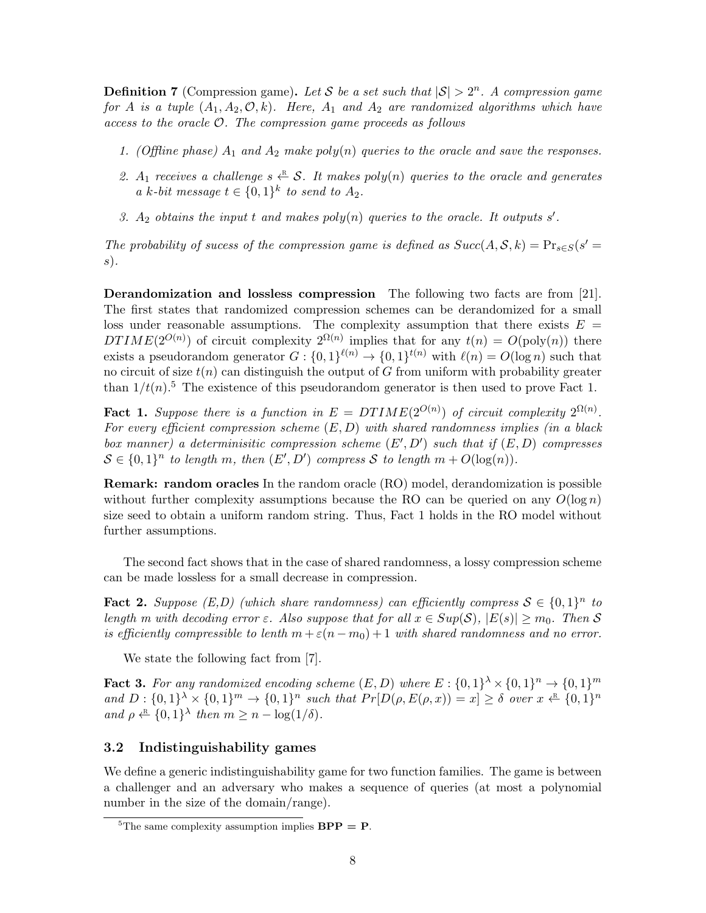**Definition 7** (Compression game). Let S be a set such that  $|S| > 2^n$ . A compression game for A is a tuple  $(A_1, A_2, \mathcal{O}, k)$ . Here,  $A_1$  and  $A_2$  are randomized algorithms which have  $access to the oracle  $O$ . The compression game proceeds as follows$ 

- 1. (Offline phase)  $A_1$  and  $A_2$  make poly(n) queries to the oracle and save the responses.
- 2.  $A_1$  receives a challenge  $s \stackrel{\text{R}}{\leftarrow} S$ . It makes poly(n) queries to the oracle and generates a k-bit message  $t \in \{0,1\}^k$  to send to  $A_2$ .
- 3.  $A_2$  obtains the input t and makes  $poly(n)$  queries to the oracle. It outputs s'.

The probability of sucess of the compression game is defined as  $Succ(A, S, k) = Pr_{s \in S}(s' = k)$ s).

Derandomization and lossless compression The following two facts are from [\[21\]](#page-18-1). The first states that randomized compression schemes can be derandomized for a small loss under reasonable assumptions. The complexity assumption that there exists  $E =$ DTIME(2<sup>O(n)</sup>) of circuit complexity  $2^{\Omega(n)}$  implies that for any  $t(n) = O(\text{poly}(n))$  there exists a pseudorandom generator  $G: \{0,1\}^{\ell(n)} \to \{0,1\}^{t(n)}$  with  $\ell(n) = O(\log n)$  such that no circuit of size  $t(n)$  can distinguish the output of G from uniform with probability greater than  $1/t(n)$ .<sup>[5](#page-7-0)</sup> The existence of this pseudorandom generator is then used to prove Fact [1.](#page-7-1)

<span id="page-7-1"></span>**Fact 1.** Suppose there is a function in  $E = DTIME(2^{O(n)})$  of circuit complexity  $2^{\Omega(n)}$ . For every efficient compression scheme  $(E, D)$  with shared randomness implies (in a black box manner) a determinisitic compression scheme  $(E', D')$  such that if  $(E, D)$  compresses  $S \in \{0,1\}^n$  to length m, then  $(E', D')$  compress S to length  $m + O(\log(n))$ .

Remark: random oracles In the random oracle (RO) model, derandomization is possible without further complexity assumptions because the RO can be queried on any  $O(\log n)$ size seed to obtain a uniform random string. Thus, Fact [1](#page-7-1) holds in the RO model without further assumptions.

The second fact shows that in the case of shared randomness, a lossy compression scheme can be made lossless for a small decrease in compression.

<span id="page-7-2"></span>**Fact 2.** Suppose  $(E,D)$  (which share randomness) can efficiently compress  $S \in \{0,1\}^n$  to length m with decoding error  $\varepsilon$ . Also suppose that for all  $x \in Sup(S)$ ,  $|E(s)| \geq m_0$ . Then S is efficiently compressible to lenth  $m + \varepsilon(n - m_0) + 1$  with shared randomness and no error.

We state the following fact from [\[7\]](#page-17-13).

<span id="page-7-3"></span>**Fact 3.** For any randomized encoding scheme  $(E, D)$  where  $E: \{0,1\}^{\lambda} \times \{0,1\}^n \rightarrow \{0,1\}^m$ and  $D: \{0,1\}^{\lambda} \times \{0,1\}^m \rightarrow \{0,1\}^n$  such that  $Pr[D(\rho, E(\rho, x)) = x] \geq \delta$  over  $x \leftarrow R \{0,1\}^n$ and  $\rho \stackrel{\text{R}}{\leftarrow} \{0,1\}^{\lambda}$  then  $m \geq n - \log(1/\delta)$ .

### 3.2 Indistinguishability games

We define a generic indistinguishability game for two function families. The game is between a challenger and an adversary who makes a sequence of queries (at most a polynomial number in the size of the domain/range).

<span id="page-7-0"></span><sup>&</sup>lt;sup>5</sup>The same complexity assumption implies  $BPP = P$ .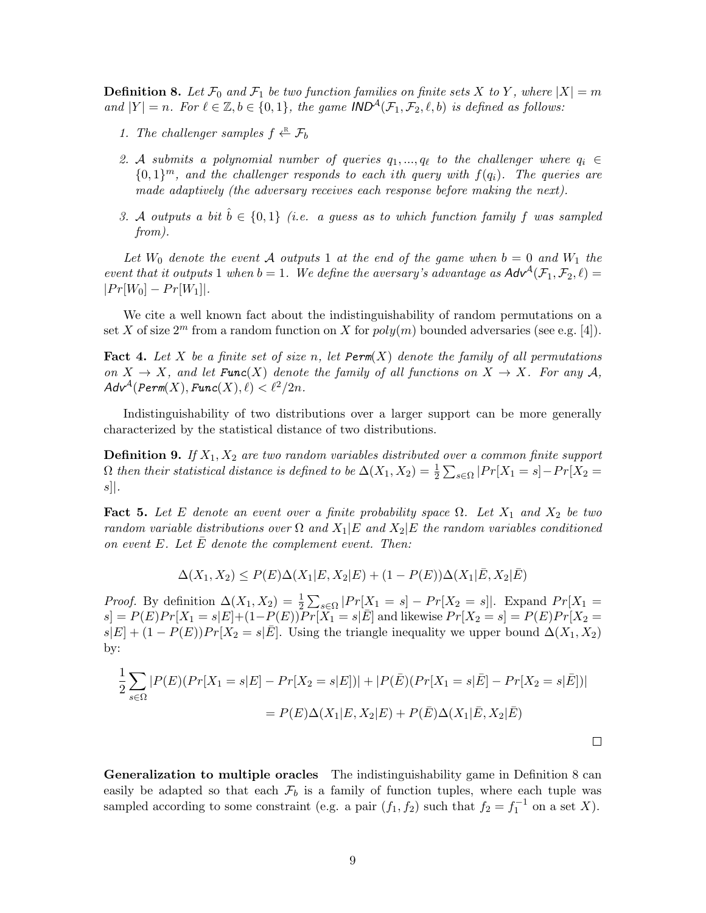<span id="page-8-0"></span>**Definition 8.** Let  $\mathcal{F}_0$  and  $\mathcal{F}_1$  be two function families on finite sets X to Y, where  $|X| = m$ and  $|Y| = n$ . For  $\ell \in \mathbb{Z}, b \in \{0, 1\}$ , the game IND<sup>A</sup>( $\mathcal{F}_1, \mathcal{F}_2, \ell, b$ ) is defined as follows:

- 1. The challenger samples  $f \leftarrow R_b$
- 2. A submits a polynomial number of queries  $q_1, ..., q_\ell$  to the challenger where  $q_i \in$  ${0,1}^m$ , and the challenger responds to each ith query with  $f(q_i)$ . The queries are made adaptively (the adversary receives each response before making the next).
- 3. A outputs a bit  $\hat{b} \in \{0,1\}$  (i.e. a quess as to which function family f was sampled from).

Let  $W_0$  denote the event A outputs 1 at the end of the game when  $b = 0$  and  $W_1$  the event that it outputs 1 when  $b = 1$ . We define the aversary's advantage as  $\mathsf{Adv}^{\mathcal{A}}(\mathcal{F}_1, \mathcal{F}_2, \ell) =$  $|Pr[W_0] - Pr[W_1]|$ .

We cite a well known fact about the indistinguishability of random permutations on a set X of size  $2^m$  from a random function on X for  $poly(m)$  bounded adversaries (see e.g. [\[4\]](#page-17-14)).

<span id="page-8-2"></span>Fact 4. Let X be a finite set of size n, let  $Perm(X)$  denote the family of all permutations on  $X \to X$ , and let **Func**(X) denote the family of all functions on  $X \to X$ . For any A,  $Adv^{\mathcal{A}}(Perm(X), Func(X), \ell) < \ell^2/2n$ .

Indistinguishability of two distributions over a larger support can be more generally characterized by the statistical distance of two distributions.

**Definition 9.** If  $X_1, X_2$  are two random variables distributed over a common finite support  $\Omega$  then their statistical distance is defined to be  $\Delta(X_1, X_2) = \frac{1}{2} \sum_{s \in \Omega} |Pr[X_1 = s] - Pr[X_2 = s]$  $s$ ].

<span id="page-8-1"></span>**Fact 5.** Let E denote an event over a finite probability space  $\Omega$ . Let  $X_1$  and  $X_2$  be two random variable distributions over  $\Omega$  and  $X_1|E$  and  $X_2|E$  the random variables conditioned on event  $E$ . Let  $E$  denote the complement event. Then:

$$
\Delta(X_1, X_2) \le P(E)\Delta(X_1|E, X_2|E) + (1 - P(E))\Delta(X_1|\bar{E}, X_2|\bar{E})
$$

*Proof.* By definition  $\Delta(X_1, X_2) = \frac{1}{2} \sum_{s \in \Omega} |Pr[X_1 = s] - Pr[X_2 = s]|$ . Expand  $Pr[X_1 = s]$  $s = P(E)Pr[X_1 = s|E] + (1-P(E))Pr[X_1 = s|\bar{E}]$  and likewise  $Pr[X_2 = s] = P(E)Pr[X_2 = s]$  $s|E| + (1 - P(E))Pr[X_2 = s|\overline{E}]$ . Using the triangle inequality we upper bound  $\Delta(X_1, X_2)$ by:

$$
\frac{1}{2} \sum_{s \in \Omega} |P(E)(Pr[X_1 = s | E] - Pr[X_2 = s | E])| + |P(\bar{E})(Pr[X_1 = s | \bar{E}] - Pr[X_2 = s | \bar{E}])|
$$

$$
= P(E) \Delta(X_1 | E, X_2 | E) + P(\bar{E}) \Delta(X_1 | \bar{E}, X_2 | \bar{E})
$$

Generalization to multiple oracles The indistinguishability game in Definition [8](#page-8-0) can easily be adapted so that each  $\mathcal{F}_b$  is a family of function tuples, where each tuple was sampled according to some constraint (e.g. a pair  $(f_1, f_2)$  such that  $f_2 = f_1^{-1}$  on a set X).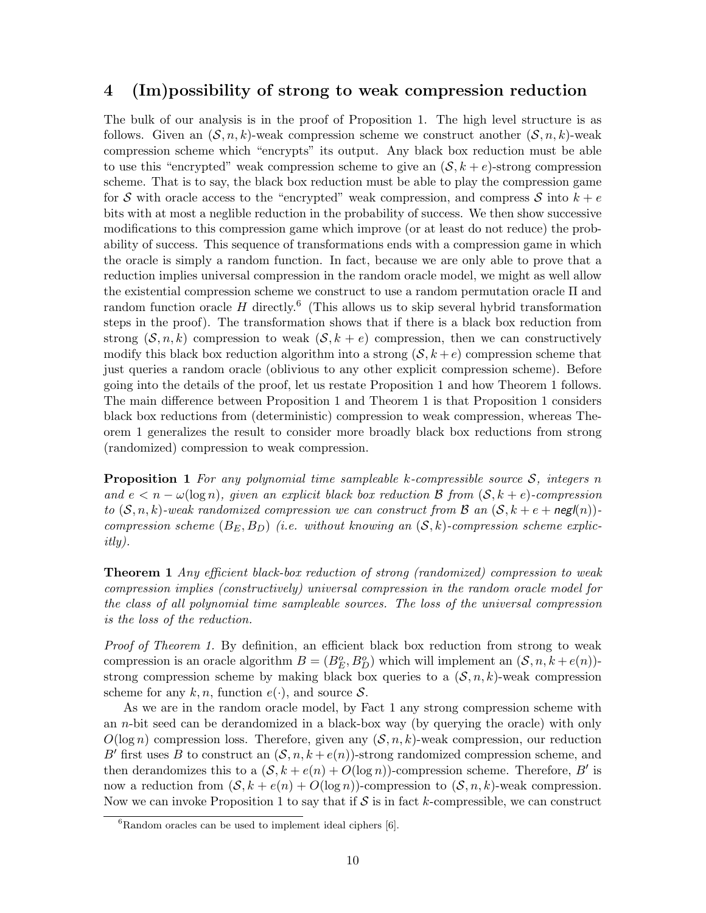### 4 (Im)possibility of strong to weak compression reduction

The bulk of our analysis is in the proof of Proposition 1. The high level structure is as follows. Given an  $(S, n, k)$ -weak compression scheme we construct another  $(S, n, k)$ -weak compression scheme which "encrypts" its output. Any black box reduction must be able to use this "encrypted" weak compression scheme to give an  $(S, k + e)$ -strong compression scheme. That is to say, the black box reduction must be able to play the compression game for S with oracle access to the "encrypted" weak compression, and compress S into  $k + e$ bits with at most a neglible reduction in the probability of success. We then show successive modifications to this compression game which improve (or at least do not reduce) the probability of success. This sequence of transformations ends with a compression game in which the oracle is simply a random function. In fact, because we are only able to prove that a reduction implies universal compression in the random oracle model, we might as well allow the existential compression scheme we construct to use a random permutation oracle  $\Pi$  and random function oracle  $H$  directly.<sup>[6](#page-9-0)</sup> (This allows us to skip several hybrid transformation steps in the proof). The transformation shows that if there is a black box reduction from strong  $(S, n, k)$  compression to weak  $(S, k + e)$  compression, then we can constructively modify this black box reduction algorithm into a strong  $(S, k + e)$  compression scheme that just queries a random oracle (oblivious to any other explicit compression scheme). Before going into the details of the proof, let us restate Proposition 1 and how Theorem 1 follows. The main difference between Proposition 1 and Theorem 1 is that Proposition 1 considers black box reductions from (deterministic) compression to weak compression, whereas Theorem 1 generalizes the result to consider more broadly black box reductions from strong (randomized) compression to weak compression.

**Proposition 1** For any polynomial time sampleable k-compressible source  $S$ , integers n and  $e < n - \omega(\log n)$ , given an explicit black box reduction B from  $(S, k + e)$ -compression to  $(S, n, k)$ -weak randomized compression we can construct from B an  $(S, k + e + \text{neg}(n))$ compression scheme  $(B_E, B_D)$  (i.e. without knowing an  $(S, k)$ -compression scheme explicitly).

**Theorem 1** Any efficient black-box reduction of strong (randomized) compression to weak compression implies (constructively) universal compression in the random oracle model for the class of all polynomial time sampleable sources. The loss of the universal compression is the loss of the reduction.

Proof of Theorem 1. By definition, an efficient black box reduction from strong to weak compression is an oracle algorithm  $B = (B_E^o, B_D^o)$  which will implement an  $(S, n, k + e(n))$ strong compression scheme by making black box queries to a  $(S, n, k)$ -weak compression scheme for any k, n, function  $e(.)$ , and source S.

As we are in the random oracle model, by Fact [1](#page-7-1) any strong compression scheme with an *n*-bit seed can be derandomized in a black-box way (by querying the oracle) with only  $O(\log n)$  compression loss. Therefore, given any  $(S, n, k)$ -weak compression, our reduction B' first uses B to construct an  $(S, n, k + e(n))$ -strong randomized compression scheme, and then derandomizes this to a  $(S, k + e(n) + O(\log n))$ -compression scheme. Therefore, B' is now a reduction from  $(\mathcal{S}, k + e(n) + O(\log n))$ -compression to  $(\mathcal{S}, n, k)$ -weak compression. Now we can invoke Proposition 1 to say that if  $S$  is in fact k-compressible, we can construct

<span id="page-9-0"></span> ${}^{6}$ Random oracles can be used to implement ideal ciphers [\[6\]](#page-17-15).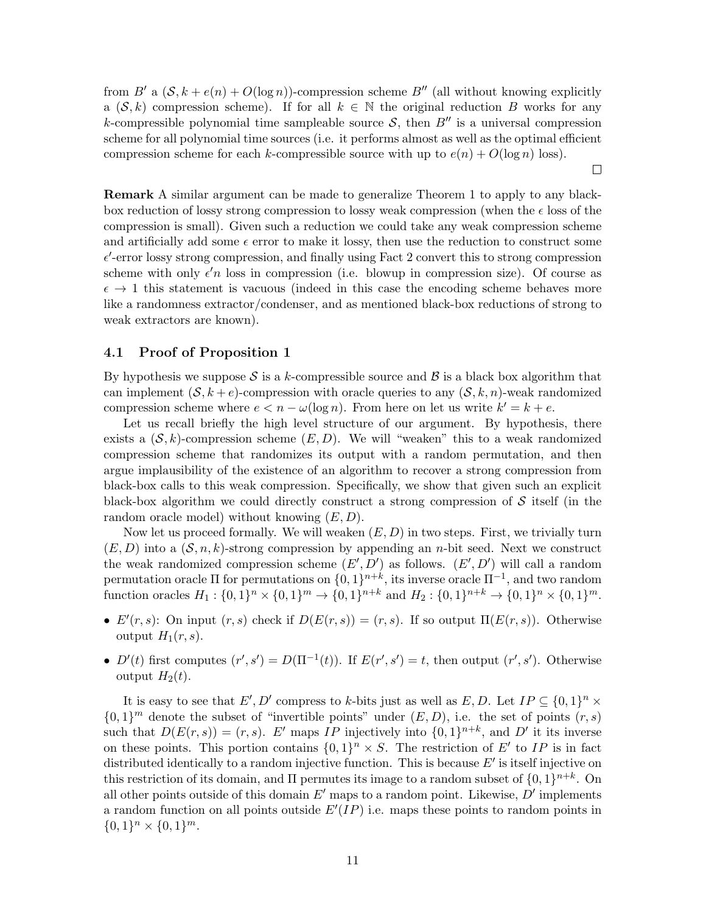from B' a  $(S, k + e(n) + O(\log n))$ -compression scheme B'' (all without knowing explicitly a  $(S, k)$  compression scheme). If for all  $k \in \mathbb{N}$  the original reduction B works for any k-compressible polynomial time sampleable source  $S$ , then  $B''$  is a universal compression scheme for all polynomial time sources (i.e. it performs almost as well as the optimal efficient compression scheme for each k-compressible source with up to  $e(n) + O(\log n)$  loss).

 $\Box$ 

Remark A similar argument can be made to generalize Theorem 1 to apply to any blackbox reduction of lossy strong compression to lossy weak compression (when the  $\epsilon$  loss of the compression is small). Given such a reduction we could take any weak compression scheme and artificially add some  $\epsilon$  error to make it lossy, then use the reduction to construct some  $\epsilon'$ -error lossy strong compression, and finally using Fact [2](#page-7-2) convert this to strong compression scheme with only  $\epsilon' n$  loss in compression (i.e. blowup in compression size). Of course as  $\epsilon \to 1$  this statement is vacuous (indeed in this case the encoding scheme behaves more like a randomness extractor/condenser, and as mentioned black-box reductions of strong to weak extractors are known).

#### 4.1 Proof of Proposition 1

By hypothesis we suppose S is a k-compressible source and  $\beta$  is a black box algorithm that can implement  $(S, k + e)$ -compression with oracle queries to any  $(S, k, n)$ -weak randomized compression scheme where  $e < n - \omega(\log n)$ . From here on let us write  $k' = k + e$ .

Let us recall briefly the high level structure of our argument. By hypothesis, there exists a  $(S, k)$ -compression scheme  $(E, D)$ . We will "weaken" this to a weak randomized compression scheme that randomizes its output with a random permutation, and then argue implausibility of the existence of an algorithm to recover a strong compression from black-box calls to this weak compression. Specifically, we show that given such an explicit black-box algorithm we could directly construct a strong compression of  $\mathcal S$  itself (in the random oracle model) without knowing  $(E, D)$ .

Now let us proceed formally. We will weaken  $(E, D)$  in two steps. First, we trivially turn  $(E, D)$  into a  $(S, n, k)$ -strong compression by appending an *n*-bit seed. Next we construct the weak randomized compression scheme  $(E', D')$  as follows.  $(E', D')$  will call a random permutation oracle  $\Pi$  for permutations on  $\{0,1\}^{n+k}$ , its inverse oracle  $\Pi^{-1}$ , and two random function oracles  $H_1: \{0,1\}^n \times \{0,1\}^m \to \{0,1\}^{n+k}$  and  $H_2: \{0,1\}^{n+k} \to \{0,1\}^n \times \{0,1\}^m$ .

- $E'(r, s)$ : On input  $(r, s)$  check if  $D(E(r, s)) = (r, s)$ . If so output  $\Pi(E(r, s))$ . Otherwise output  $H_1(r, s)$ .
- $D'(t)$  first computes  $(r', s') = D(\Pi^{-1}(t))$ . If  $E(r', s') = t$ , then output  $(r', s')$ . Otherwise output  $H_2(t)$ .

It is easy to see that  $E', D'$  compress to k-bits just as well as  $E, D$ . Let  $IP \subseteq \{0,1\}^n \times$  $\{0,1\}^m$  denote the subset of "invertible points" under  $(E, D)$ , i.e. the set of points  $(r, s)$ such that  $D(E(r, s)) = (r, s)$ . E' maps IP injectively into  $\{0, 1\}^{n+k}$ , and D' it its inverse on these points. This portion contains  $\{0,1\}^n \times S$ . The restriction of E' to IP is in fact distributed identically to a random injective function. This is because  $E'$  is itself injective on this restriction of its domain, and  $\Pi$  permutes its image to a random subset of  $\{0,1\}^{n+k}$ . On all other points outside of this domain  $E'$  maps to a random point. Likewise,  $D'$  implements a random function on all points outside  $E'(IP)$  i.e. maps these points to random points in  ${0,1}^n \times {0,1}^m.$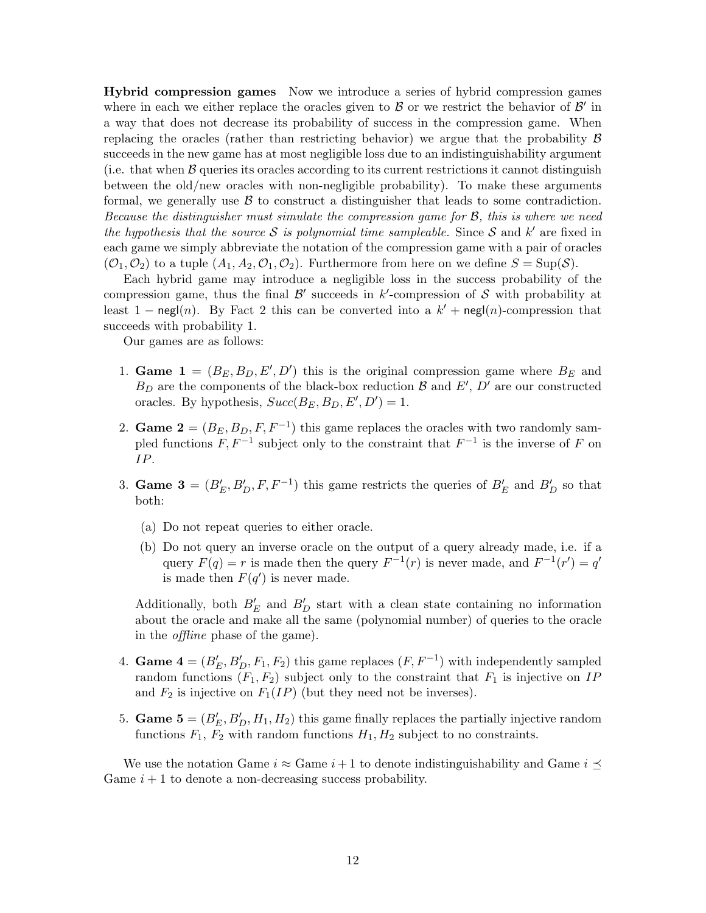Hybrid compression games Now we introduce a series of hybrid compression games where in each we either replace the oracles given to  $\beta$  or we restrict the behavior of  $\beta'$  in a way that does not decrease its probability of success in the compression game. When replacing the oracles (rather than restricting behavior) we argue that the probability  $\beta$ succeeds in the new game has at most negligible loss due to an indistinguishability argument (i.e. that when  $\beta$  queries its oracles according to its current restrictions it cannot distinguish between the old/new oracles with non-negligible probability). To make these arguments formal, we generally use  $\beta$  to construct a distinguisher that leads to some contradiction. Because the distinguisher must simulate the compression game for B, this is where we need the hypothesis that the source S is polynomial time sampleable. Since S and  $k'$  are fixed in each game we simply abbreviate the notation of the compression game with a pair of oracles  $(\mathcal{O}_1, \mathcal{O}_2)$  to a tuple  $(A_1, A_2, \mathcal{O}_1, \mathcal{O}_2)$ . Furthermore from here on we define  $S = \text{Sup}(\mathcal{S})$ .

Each hybrid game may introduce a negligible loss in the success probability of the compression game, thus the final  $\mathcal{B}'$  succeeds in k'-compression of S with probability at least 1 – negl(n). By Fact [2](#page-7-2) this can be converted into a  $k'$  + negl(n)-compression that succeeds with probability 1.

Our games are as follows:

- 1. Game  $\mathbf{1} = (B_E, B_D, E', D')$  this is the original compression game where  $B_E$  and  $B_D$  are the components of the black-box reduction  $\mathcal B$  and  $E', D'$  are our constructed oracles. By hypothesis,  $Succ(B_E, B_D, E', D') = 1$ .
- 2. Game  $\mathbf{2} = (B_E, B_D, F, F^{-1})$  this game replaces the oracles with two randomly sampled functions  $F, F^{-1}$  subject only to the constraint that  $F^{-1}$  is the inverse of F on IP.
- 3. Game  $\mathbf{3} = (B'_E, B'_D, F, F^{-1})$  this game restricts the queries of  $B'_E$  and  $B'_D$  so that both:
	- (a) Do not repeat queries to either oracle.
	- (b) Do not query an inverse oracle on the output of a query already made, i.e. if a query  $F(q) = r$  is made then the query  $F^{-1}(r)$  is never made, and  $F^{-1}(r') = q'$ is made then  $F(q')$  is never made.

Additionally, both  $B'_E$  and  $B'_D$  start with a clean state containing no information about the oracle and make all the same (polynomial number) of queries to the oracle in the offline phase of the game).

- 4. **Game 4** =  $(B'_E, B'_D, F_1, F_2)$  this game replaces  $(F, F^{-1})$  with independently sampled random functions  $(F_1, F_2)$  subject only to the constraint that  $F_1$  is injective on IP and  $F_2$  is injective on  $F_1(I)$  (but they need not be inverses).
- 5. **Game 5** =  $(B'_E, B'_D, H_1, H_2)$  this game finally replaces the partially injective random functions  $F_1$ ,  $F_2$  with random functions  $H_1$ ,  $H_2$  subject to no constraints.

We use the notation Game  $i \approx$  Game  $i+1$  to denote indistinguishability and Game  $i \prec$ Game  $i + 1$  to denote a non-decreasing success probability.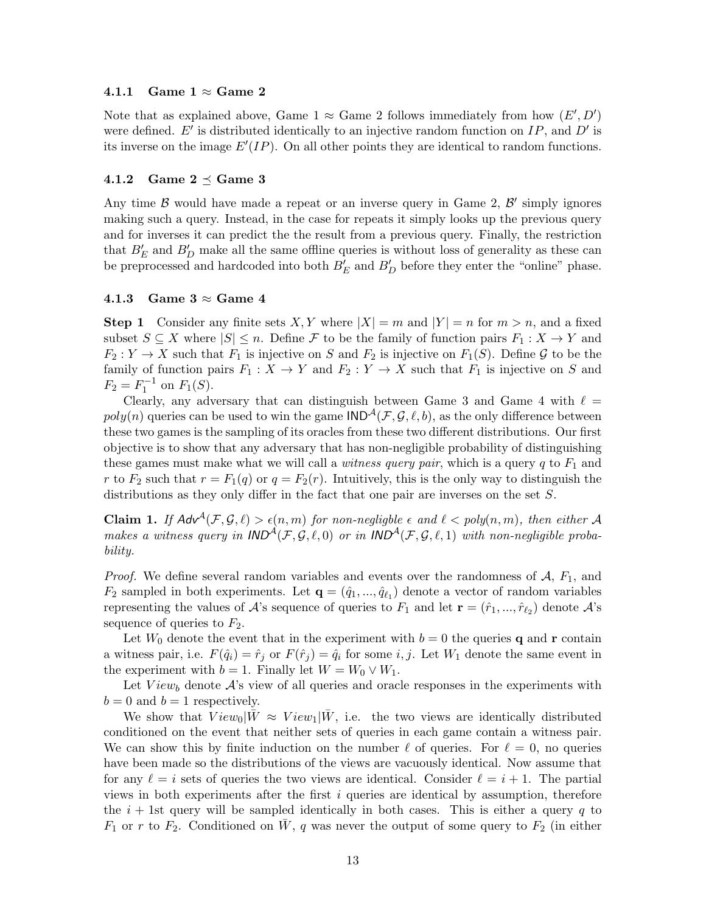### 4.1.1 Game  $1 \approx$  Game 2

Note that as explained above, Game 1  $\approx$  Game 2 follows immediately from how  $(E', D')$ were defined.  $E'$  is distributed identically to an injective random function on  $IP$ , and  $D'$  is its inverse on the image  $E'(IP)$ . On all other points they are identical to random functions.

#### 4.1.2 Game  $2 \preceq$  Game 3

Any time  $\beta$  would have made a repeat or an inverse query in Game 2,  $\beta'$  simply ignores making such a query. Instead, in the case for repeats it simply looks up the previous query and for inverses it can predict the the result from a previous query. Finally, the restriction that  $B'_E$  and  $B'_D$  make all the same offline queries is without loss of generality as these can be preprocessed and hardcoded into both  $B'_E$  and  $B'_D$  before they enter the "online" phase.

### 4.1.3 Game  $3 \approx$  Game 4

**Step 1** Consider any finite sets X, Y where  $|X| = m$  and  $|Y| = n$  for  $m > n$ , and a fixed subset  $S \subseteq X$  where  $|S| \leq n$ . Define F to be the family of function pairs  $F_1: X \to Y$  and  $F_2: Y \to X$  such that  $F_1$  is injective on S and  $F_2$  is injective on  $F_1(S)$ . Define G to be the family of function pairs  $F_1 : X \to Y$  and  $F_2 : Y \to X$  such that  $F_1$  is injective on S and  $F_2 = F_1^{-1}$  on  $F_1(S)$ .

Clearly, any adversary that can distinguish between Game 3 and Game 4 with  $\ell =$  $poly(n)$  queries can be used to win the game  $\text{IND}^{\mathcal{A}}(\mathcal{F}, \mathcal{G}, \ell, b)$ , as the only difference between these two games is the sampling of its oracles from these two different distributions. Our first objective is to show that any adversary that has non-negligible probability of distinguishing these games must make what we will call a *witness query pair*, which is a query  $q$  to  $F_1$  and r to  $F_2$  such that  $r = F_1(q)$  or  $q = F_2(r)$ . Intuitively, this is the only way to distinguish the distributions as they only differ in the fact that one pair are inverses on the set S.

<span id="page-12-0"></span>Claim 1. If  $Adv^{\mathcal{A}}(\mathcal{F}, \mathcal{G}, \ell) > \epsilon(n, m)$  for non-negligble  $\epsilon$  and  $\ell < poly(n, m)$ , then either A makes a witness query in  $IND^{\mathcal{A}}(\mathcal{F}, \mathcal{G}, \ell, 0)$  or in  $IND^{\mathcal{A}}(\mathcal{F}, \mathcal{G}, \ell, 1)$  with non-negligible probability.

*Proof.* We define several random variables and events over the randomness of  $A$ ,  $F_1$ , and  $F_2$  sampled in both experiments. Let  $\mathbf{q} = (\hat{q}_1, ..., \hat{q}_{\ell_1})$  denote a vector of random variables representing the values of  $\mathcal{A}$ 's sequence of queries to  $F_1$  and let  $\mathbf{r} = (\hat{r}_1, ..., \hat{r}_{\ell_2})$  denote  $\mathcal{A}$ 's sequence of queries to  $F_2$ .

Let  $W_0$  denote the event that in the experiment with  $b = 0$  the queries q and r contain a witness pair, i.e.  $F(\hat{q}_i) = \hat{r}_i$  or  $F(\hat{r}_i) = \hat{q}_i$  for some i, j. Let  $W_1$  denote the same event in the experiment with  $b = 1$ . Finally let  $W = W_0 \vee W_1$ .

Let  $View_b$  denote  $A$ 's view of all queries and oracle responses in the experiments with  $b = 0$  and  $b = 1$  respectively.

We show that  $View_0|\bar{W} \approx View_1|\bar{W}$ , i.e. the two views are identically distributed conditioned on the event that neither sets of queries in each game contain a witness pair. We can show this by finite induction on the number  $\ell$  of queries. For  $\ell = 0$ , no queries have been made so the distributions of the views are vacuously identical. Now assume that for any  $\ell = i$  sets of queries the two views are identical. Consider  $\ell = i + 1$ . The partial views in both experiments after the first  $i$  queries are identical by assumption, therefore the  $i + 1$ st query will be sampled identically in both cases. This is either a query q to  $F_1$  or r to  $F_2$ . Conditioned on  $\bar{W}$ , q was never the output of some query to  $F_2$  (in either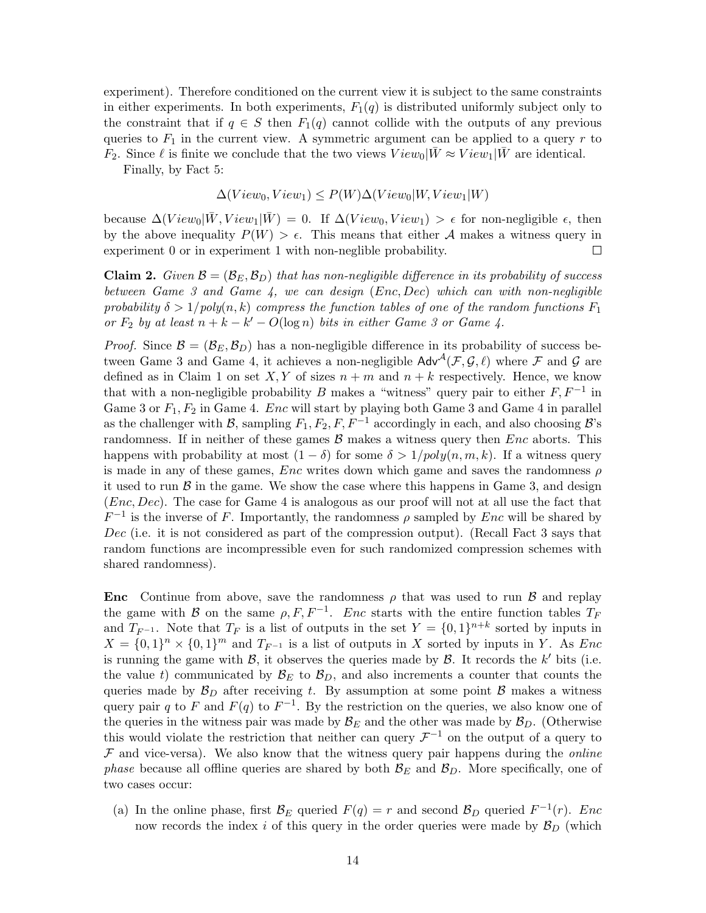experiment). Therefore conditioned on the current view it is subject to the same constraints in either experiments. In both experiments,  $F_1(q)$  is distributed uniformly subject only to the constraint that if  $q \in S$  then  $F_1(q)$  cannot collide with the outputs of any previous queries to  $F_1$  in the current view. A symmetric argument can be applied to a query r to  $F_2$ . Since  $\ell$  is finite we conclude that the two views  $View_0|W \approx View_1|W$  are identical.

Finally, by Fact [5:](#page-8-1)

$$
\Delta(View_0, View_1) \le P(W) \Delta(View_0|W, View_1|W)
$$

because  $\Delta(View_0|\bar{W},View_1|\bar{W}) = 0$ . If  $\Delta(View_0,View_1) > \epsilon$  for non-negligible  $\epsilon$ , then by the above inequality  $P(W) > \epsilon$ . This means that either A makes a witness query in experiment 0 or in experiment 1 with non-neglible probability.  $\Box$ 

<span id="page-13-0"></span>**Claim 2.** Given  $\mathcal{B} = (\mathcal{B}_E, \mathcal{B}_D)$  that has non-negligible difference in its probability of success between Game 3 and Game  $4$ , we can design  $(Enc, Dec)$  which can with non-negligible probability  $\delta > 1/poly(n, k)$  compress the function tables of one of the random functions  $F_1$ or  $F_2$  by at least  $n + k - k' - O(\log n)$  bits in either Game 3 or Game 4.

*Proof.* Since  $\mathcal{B} = (\mathcal{B}_E, \mathcal{B}_D)$  has a non-negligible difference in its probability of success between Game 3 and Game 4, it achieves a non-negligible  $\mathsf{Adv}^{\mathcal{A}}(\mathcal{F}, \mathcal{G}, \ell)$  where  $\mathcal F$  and  $\mathcal G$  are defined as in Claim [1](#page-12-0) on set  $X, Y$  of sizes  $n + m$  and  $n + k$  respectively. Hence, we know that with a non-negligible probability B makes a "witness" query pair to either  $F, F^{-1}$  in Game 3 or  $F_1, F_2$  in Game 4. Enc will start by playing both Game 3 and Game 4 in parallel as the challenger with B, sampling  $F_1, F_2, F, F^{-1}$  accordingly in each, and also choosing B's randomness. If in neither of these games  $\mathcal{B}$  makes a witness query then Enc aborts. This happens with probability at most  $(1 - \delta)$  for some  $\delta > 1/poly(n, m, k)$ . If a witness query is made in any of these games,  $Enc$  writes down which game and saves the randomness  $\rho$ it used to run  $\beta$  in the game. We show the case where this happens in Game 3, and design (Enc, Dec). The case for Game 4 is analogous as our proof will not at all use the fact that  $F^{-1}$  is the inverse of F. Importantly, the randomness  $\rho$  sampled by Enc will be shared by Dec (i.e. it is not considered as part of the compression output). (Recall Fact [3](#page-7-3) says that random functions are incompressible even for such randomized compression schemes with shared randomness).

**Enc** Continue from above, save the randomness  $\rho$  that was used to run  $\beta$  and replay the game with B on the same  $\rho, F, F^{-1}$ . Enc starts with the entire function tables  $T_F$ and  $T_{F^{-1}}$ . Note that  $T_F$  is a list of outputs in the set  $Y = \{0,1\}^{n+k}$  sorted by inputs in  $X = \{0,1\}^n \times \{0,1\}^m$  and  $T_{F^{-1}}$  is a list of outputs in X sorted by inputs in Y. As Enc is running the game with  $\mathcal{B}$ , it observes the queries made by  $\mathcal{B}$ . It records the k' bits (i.e. the value t) communicated by  $\mathcal{B}_E$  to  $\mathcal{B}_D$ , and also increments a counter that counts the queries made by  $\mathcal{B}_D$  after receiving t. By assumption at some point  $\beta$  makes a witness query pair q to F and  $F(q)$  to  $F^{-1}$ . By the restriction on the queries, we also know one of the queries in the witness pair was made by  $\mathcal{B}_E$  and the other was made by  $\mathcal{B}_D$ . (Otherwise this would violate the restriction that neither can query  $\mathcal{F}^{-1}$  on the output of a query to  $F$  and vice-versa). We also know that the witness query pair happens during the *online phase* because all offline queries are shared by both  $B_E$  and  $B_D$ . More specifically, one of two cases occur:

(a) In the online phase, first  $\mathcal{B}_E$  queried  $F(q) = r$  and second  $\mathcal{B}_D$  queried  $F^{-1}(r)$ . Enc now records the index i of this query in the order queries were made by  $\mathcal{B}_D$  (which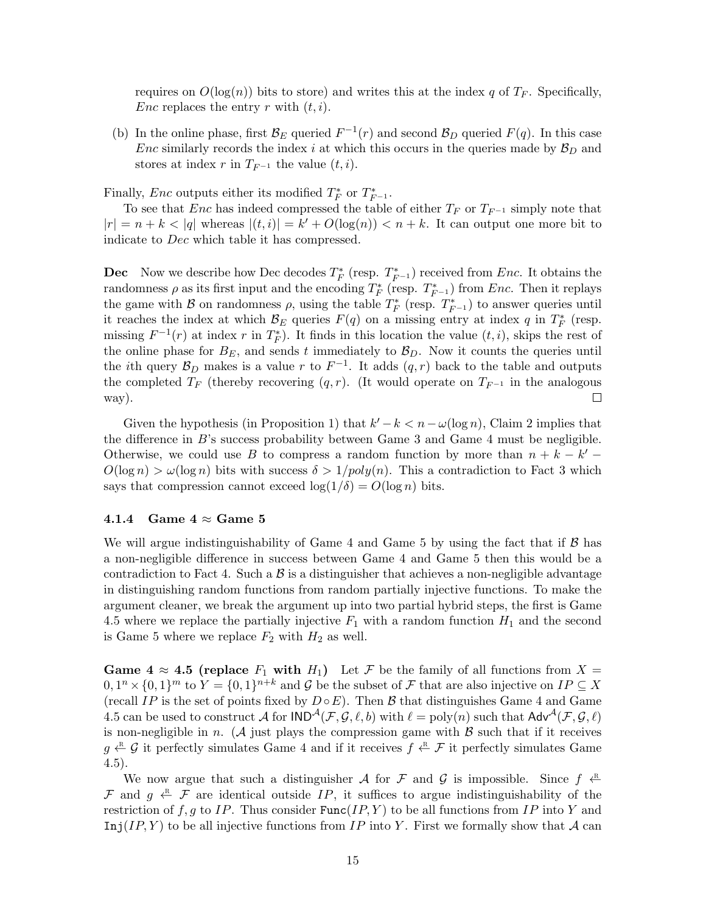requires on  $O(\log(n))$  bits to store) and writes this at the index q of  $T_F$ . Specifically, Enc replaces the entry r with  $(t, i)$ .

(b) In the online phase, first  $\mathcal{B}_E$  queried  $F^{-1}(r)$  and second  $\mathcal{B}_D$  queried  $F(q)$ . In this case Enc similarly records the index i at which this occurs in the queries made by  $B_D$  and stores at index r in  $T_{F^{-1}}$  the value  $(t, i)$ .

Finally, Enc outputs either its modified  $T_F^*$  or  $T_{F^{-1}}^*$ .

To see that Enc has indeed compressed the table of either  $T_F$  or  $T_{F^{-1}}$  simply note that  $|r| = n + k < |q|$  whereas  $|(t, i)| = k' + O(\log(n)) < n + k$ . It can output one more bit to indicate to Dec which table it has compressed.

**Dec** Now we describe how Dec decodes  $T_F^*$  (resp.  $T_{F^{-1}}^*$ ) received from Enc. It obtains the randomness  $\rho$  as its first input and the encoding  $T_F^*$  (resp.  $T_{F^{-1}}^*$ ) from Enc. Then it replays the game with  $\mathcal B$  on randomness  $\rho$ , using the table  $T_F^*$  (resp.  $T_{F^{-1}}^*$ ) to answer queries until it reaches the index at which  $\mathcal{B}_E$  queries  $F(q)$  on a missing entry at index q in  $T_F^*$  (resp. missing  $F^{-1}(r)$  at index r in  $T_F^*$ ). It finds in this location the value  $(t, i)$ , skips the rest of the online phase for  $B_E$ , and sends t immediately to  $B_D$ . Now it counts the queries until the *i*th query  $\mathcal{B}_D$  makes is a value r to  $F^{-1}$ . It adds  $(q,r)$  back to the table and outputs the completed  $T_F$  (thereby recovering  $(q, r)$ . (It would operate on  $T_{F^{-1}}$  in the analogous way).  $\Box$ 

Given the hypothesis (in Proposition 1) that  $k'-k < n - \omega(\log n)$ , Claim [2](#page-13-0) implies that the difference in  $B$ 's success probability between Game 3 and Game 4 must be negligible. Otherwise, we could use B to compress a random function by more than  $n + k - k'$  $O(\log n) > \omega(\log n)$  bits with success  $\delta > 1/poly(n)$ . This a contradiction to Fact [3](#page-7-3) which says that compression cannot exceed  $\log(1/\delta) = O(\log n)$  bits.

#### 4.1.4 Game  $4 \approx$  Game 5

We will argue indistinguishability of Game 4 and Game 5 by using the fact that if  $\beta$  has a non-negligible difference in success between Game 4 and Game 5 then this would be a contradiction to Fact [4.](#page-8-2) Such a  $\beta$  is a distinguisher that achieves a non-negligible advantage in distinguishing random functions from random partially injective functions. To make the argument cleaner, we break the argument up into two partial hybrid steps, the first is Game 4.5 where we replace the partially injective  $F_1$  with a random function  $H_1$  and the second is Game 5 where we replace  $F_2$  with  $H_2$  as well.

Game  $4 \approx 4.5$  (replace  $F_1$  with  $H_1$ ) Let  $\mathcal F$  be the family of all functions from  $X =$  $[0,1^n \times \{0,1\}^m$  to  $Y = \{0,1\}^{n+k}$  and  $\mathcal G$  be the subset of  $\mathcal F$  that are also injective on  $IP \subseteq X$ (recall IP is the set of points fixed by  $D \circ E$ ). Then B that distinguishes Game 4 and Game 4.5 can be used to construct A for  $IND^{\mathcal{A}}(\mathcal{F}, \mathcal{G}, \ell, b)$  with  $\ell = \text{poly}(n)$  such that  $Adv^{\mathcal{A}}(\mathcal{F}, \mathcal{G}, \ell)$ is non-negligible in n. (A just plays the compression game with  $\beta$  such that if it receives  $g \stackrel{\text{R}}{\leftarrow} G$  it perfectly simulates Game 4 and if it receives  $f \stackrel{\text{R}}{\leftarrow} \mathcal{F}$  it perfectly simulates Game 4.5).

We now argue that such a distinguisher A for F and G is impossible. Since  $f \stackrel{\text{R}}{\leftarrow}$ F and  $g \leftarrow F$  are identical outside IP, it suffices to argue indistinguishability of the restriction of f, g to IP. Thus consider  $Func(IP, Y)$  to be all functions from IP into Y and Inj(IP, Y) to be all injective functions from IP into Y. First we formally show that A can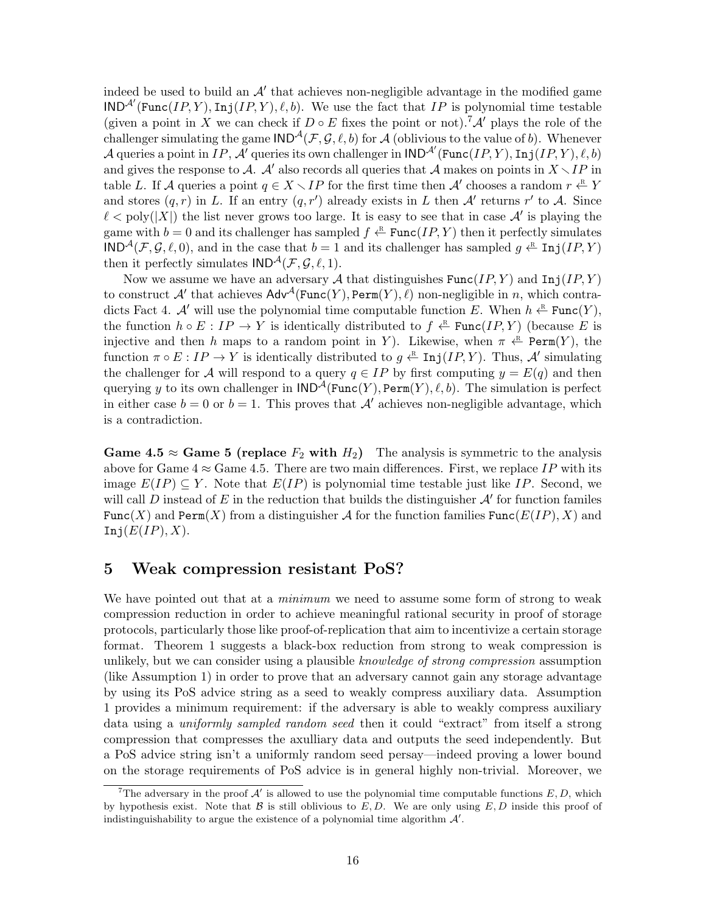indeed be used to build an  $A'$  that achieves non-negligible advantage in the modified game  $\text{IND}^{\mathcal{A}'}(\text{Func}(IP, Y), \text{Inj}(IP, Y), \ell, b)$ . We use the fact that IP is polynomial time testable (given a point in X we can check if  $D \circ E$  fixes the point or not).<sup>[7](#page-15-0)</sup>A' plays the role of the challenger simulating the game  $\text{IND}^{\mathcal{A}}(\mathcal{F}, \mathcal{G}, \ell, b)$  for A (oblivious to the value of b). Whenever A queries a point in  $IP$ , A<sup>t</sup> queries its own challenger in  $\mathsf{IND}^{\mathcal{A}'}(\mathsf{Func}(IP, Y), \mathsf{Inj}(IP, Y), \ell, b)$ and gives the response to A. A' also records all queries that A makes on points in  $X \setminus IP$  in table L. If A queries a point  $q \in X \setminus IP$  for the first time then A' chooses a random  $r \stackrel{\text{R}}{\leftarrow} Y$ and stores  $(q, r)$  in L. If an entry  $(q, r')$  already exists in L then A' returns r' to A. Since  $\ell < \text{poly}(|X|)$  the list never grows too large. It is easy to see that in case  $\mathcal{A}'$  is playing the game with  $b = 0$  and its challenger has sampled  $f \stackrel{\text{R}}{\leftarrow} \text{Func}(IP, Y)$  then it perfectly simulates  $\text{IND}^{\mathcal{A}}(\mathcal{F}, \mathcal{G}, \ell, 0)$ , and in the case that  $b = 1$  and its challenger has sampled  $g \stackrel{\text{R}}{\leftarrow} \text{Inj}(IP, Y)$ then it perfectly simulates  $IND^{\mathcal{A}}(\mathcal{F}, \mathcal{G}, \ell, 1).$ 

Now we assume we have an adversary A that distinguishes  $Func(IP, Y)$  and  $Inj(IP, Y)$ to construct  $\mathcal{A}'$  that achieves  $\mathsf{Adv}^{\mathcal{A}}(\mathsf{Func}(Y), \mathsf{Perm}(Y), \ell)$  non-negligible in n, which contra-dicts Fact [4.](#page-8-2) A' will use the polynomial time computable function E. When  $h \leftarrow^R$  Func $(Y)$ , the function  $h \circ E : IP \to Y$  is identically distributed to  $f \stackrel{\text{R}}{\leftarrow} \text{Func}(IP, Y)$  (because E is injective and then h maps to a random point in Y). Likewise, when  $\pi \stackrel{\text{R}}{\leftarrow} \text{Perm}(Y)$ , the function  $\pi \circ E : IP \to Y$  is identically distributed to  $g \xleftarrow{\mathbb{R}} \text{Inj}(IP, Y)$ . Thus, A' simulating the challenger for A will respond to a query  $q \in IP$  by first computing  $y = E(q)$  and then querying y to its own challenger in  $\text{IND}^{\mathcal{A}}(\text{Func}(Y), \text{Perm}(Y), \ell, b)$ . The simulation is perfect in either case  $b = 0$  or  $b = 1$ . This proves that  $A'$  achieves non-negligible advantage, which is a contradiction.

Game 4.5  $\approx$  Game 5 (replace  $F_2$  with  $H_2$ ) The analysis is symmetric to the analysis above for Game  $4 \approx$  Game 4.5. There are two main differences. First, we replace IP with its image  $E(I) \subseteq Y$ . Note that  $E(I)$  is polynomial time testable just like IP. Second, we will call D instead of E in the reduction that builds the distinguisher  $\mathcal{A}'$  for function familes Func(X) and Perm(X) from a distinguisher A for the function families Func( $E(IP)$ , X) and Inj $(E/IP), X$ ).

### 5 Weak compression resistant PoS?

We have pointed out that at a *minimum* we need to assume some form of strong to weak compression reduction in order to achieve meaningful rational security in proof of storage protocols, particularly those like proof-of-replication that aim to incentivize a certain storage format. Theorem 1 suggests a black-box reduction from strong to weak compression is unlikely, but we can consider using a plausible *knowledge of strong compression* assumption (like Assumption 1) in order to prove that an adversary cannot gain any storage advantage by using its PoS advice string as a seed to weakly compress auxiliary data. Assumption 1 provides a minimum requirement: if the adversary is able to weakly compress auxiliary data using a uniformly sampled random seed then it could "extract" from itself a strong compression that compresses the axulliary data and outputs the seed independently. But a PoS advice string isn't a uniformly random seed persay—indeed proving a lower bound on the storage requirements of PoS advice is in general highly non-trivial. Moreover, we

<span id="page-15-0"></span>The adversary in the proof  $\mathcal{A}'$  is allowed to use the polynomial time computable functions  $E, D$ , which by hypothesis exist. Note that  $\beta$  is still oblivious to E, D. We are only using E, D inside this proof of indistinguishability to argue the existence of a polynomial time algorithm  $\mathcal{A}'$ .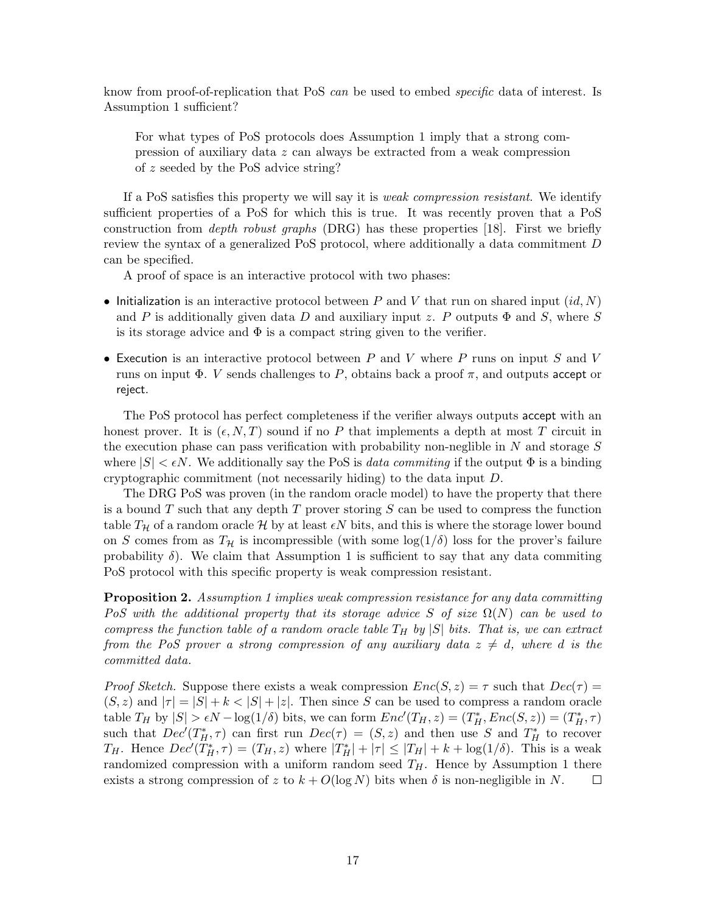know from proof-of-replication that PoS can be used to embed *specific* data of interest. Is Assumption 1 sufficient?

For what types of PoS protocols does Assumption 1 imply that a strong compression of auxiliary data z can always be extracted from a weak compression of z seeded by the PoS advice string?

If a PoS satisfies this property we will say it is weak compression resistant. We identify sufficient properties of a PoS for which this is true. It was recently proven that a PoS construction from *depth robust graphs* (DRG) has these properties [\[18\]](#page-18-5). First we briefly review the syntax of a generalized PoS protocol, where additionally a data commitment D can be specified.

A proof of space is an interactive protocol with two phases:

- Initialization is an interactive protocol between P and V that run on shared input  $(id, N)$ and P is additionally given data D and auxiliary input z. P outputs  $\Phi$  and S, where S is its storage advice and  $\Phi$  is a compact string given to the verifier.
- Execution is an interactive protocol between  $P$  and  $V$  where  $P$  runs on input  $S$  and  $V$ runs on input  $\Phi$ . V sends challenges to P, obtains back a proof  $\pi$ , and outputs accept or reject.

The PoS protocol has perfect completeness if the verifier always outputs accept with an honest prover. It is  $(\epsilon, N, T)$  sound if no P that implements a depth at most T circuit in the execution phase can pass verification with probability non-neglible in  $N$  and storage  $S$ where  $|S| < \epsilon N$ . We additionally say the PoS is *data commiting* if the output  $\Phi$  is a binding cryptographic commitment (not necessarily hiding) to the data input D.

The DRG PoS was proven (in the random oracle model) to have the property that there is a bound T such that any depth T prover storing  $S$  can be used to compress the function table  $T_H$  of a random oracle H by at least  $\epsilon N$  bits, and this is where the storage lower bound on S comes from as  $T_H$  is incompressible (with some  $log(1/\delta)$  loss for the prover's failure probability  $\delta$ ). We claim that Assumption 1 is sufficient to say that any data commiting PoS protocol with this specific property is weak compression resistant.

**Proposition 2.** Assumption 1 implies weak compression resistance for any data committing PoS with the additional property that its storage advice S of size  $\Omega(N)$  can be used to compress the function table of a random oracle table  $T_H$  by  $|S|$  bits. That is, we can extract from the PoS prover a strong compression of any auxiliary data  $z \neq d$ , where d is the committed data.

*Proof Sketch.* Suppose there exists a weak compression  $Enc(S, z) = \tau$  such that  $Dec(\tau) =$  $(S, z)$  and  $|\tau| = |S| + k < |S| + |z|$ . Then since S can be used to compress a random oracle table  $T_H$  by  $|S| > \epsilon N - \log(1/\delta)$  bits, we can form  $Enc'(T_H, z) = (T_H^*, Enc(S, z)) = (T_H^*, \tau)$ such that  $Dec(T_H^*, \tau)$  can first run  $Dec(\tau) = (S, z)$  and then use S and  $T_H^*$  to recover  $T_H$ . Hence  $Dec'(T_H^*, \tau) = (T_H, z)$  where  $|T_H^*| + |\tau| \leq |T_H| + k + \log(1/\delta)$ . This is a weak randomized compression with a uniform random seed  $T_H$ . Hence by Assumption 1 there exists a strong compression of z to  $k + O(\log N)$  bits when  $\delta$  is non-negligible in N.  $\Box$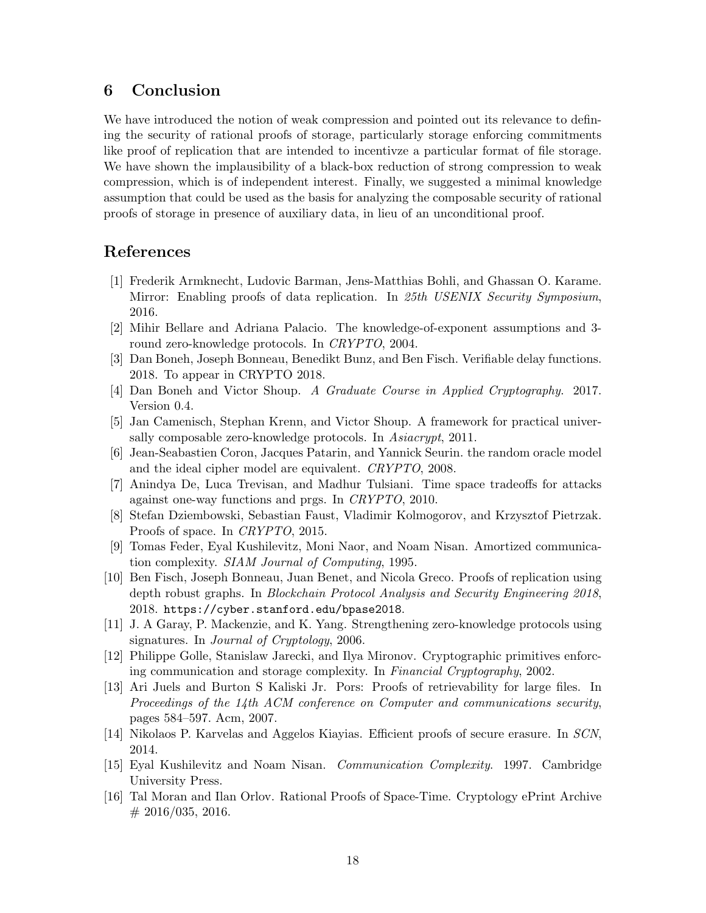### 6 Conclusion

We have introduced the notion of weak compression and pointed out its relevance to defining the security of rational proofs of storage, particularly storage enforcing commitments like proof of replication that are intended to incentivze a particular format of file storage. We have shown the implausibility of a black-box reduction of strong compression to weak compression, which is of independent interest. Finally, we suggested a minimal knowledge assumption that could be used as the basis for analyzing the composable security of rational proofs of storage in presence of auxiliary data, in lieu of an unconditional proof.

### References

- <span id="page-17-7"></span>[1] Frederik Armknecht, Ludovic Barman, Jens-Matthias Bohli, and Ghassan O. Karame. Mirror: Enabling proofs of data replication. In 25th USENIX Security Symposium, 2016.
- <span id="page-17-6"></span>[2] Mihir Bellare and Adriana Palacio. The knowledge-of-exponent assumptions and 3 round zero-knowledge protocols. In CRYPTO, 2004.
- <span id="page-17-8"></span>[3] Dan Boneh, Joseph Bonneau, Benedikt Bunz, and Ben Fisch. Verifiable delay functions. 2018. To appear in CRYPTO 2018.
- <span id="page-17-14"></span>[4] Dan Boneh and Victor Shoup. A Graduate Course in Applied Cryptography. 2017. Version 0.4.
- <span id="page-17-11"></span>[5] Jan Camenisch, Stephan Krenn, and Victor Shoup. A framework for practical universally composable zero-knowledge protocols. In Asiacrypt, 2011.
- <span id="page-17-15"></span>[6] Jean-Seabastien Coron, Jacques Patarin, and Yannick Seurin. the random oracle model and the ideal cipher model are equivalent. CRYPTO, 2008.
- <span id="page-17-13"></span>[7] Anindya De, Luca Trevisan, and Madhur Tulsiani. Time space tradeoffs for attacks against one-way functions and prgs. In CRYPTO, 2010.
- <span id="page-17-3"></span>[8] Stefan Dziembowski, Sebastian Faust, Vladimir Kolmogorov, and Krzysztof Pietrzak. Proofs of space. In CRYPTO, 2015.
- <span id="page-17-0"></span>[9] Tomas Feder, Eyal Kushilevitz, Moni Naor, and Noam Nisan. Amortized communication complexity. SIAM Journal of Computing, 1995.
- <span id="page-17-9"></span>[10] Ben Fisch, Joseph Bonneau, Juan Benet, and Nicola Greco. Proofs of replication using depth robust graphs. In Blockchain Protocol Analysis and Security Engineering 2018, 2018. <https://cyber.stanford.edu/bpase2018>.
- <span id="page-17-12"></span>[11] J. A Garay, P. Mackenzie, and K. Yang. Strengthening zero-knowledge protocols using signatures. In Journal of Cryptology, 2006.
- <span id="page-17-5"></span>[12] Philippe Golle, Stanislaw Jarecki, and Ilya Mironov. Cryptographic primitives enforcing communication and storage complexity. In Financial Cryptography, 2002.
- <span id="page-17-2"></span>[13] Ari Juels and Burton S Kaliski Jr. Pors: Proofs of retrievability for large files. In Proceedings of the 14th ACM conference on Computer and communications security, pages 584–597. Acm, 2007.
- <span id="page-17-4"></span>[14] Nikolaos P. Karvelas and Aggelos Kiayias. Efficient proofs of secure erasure. In SCN, 2014.
- <span id="page-17-1"></span>[15] Eyal Kushilevitz and Noam Nisan. Communication Complexity. 1997. Cambridge University Press.
- <span id="page-17-10"></span>[16] Tal Moran and Ilan Orlov. Rational Proofs of Space-Time. Cryptology ePrint Archive  $\#$  2016/035, 2016.